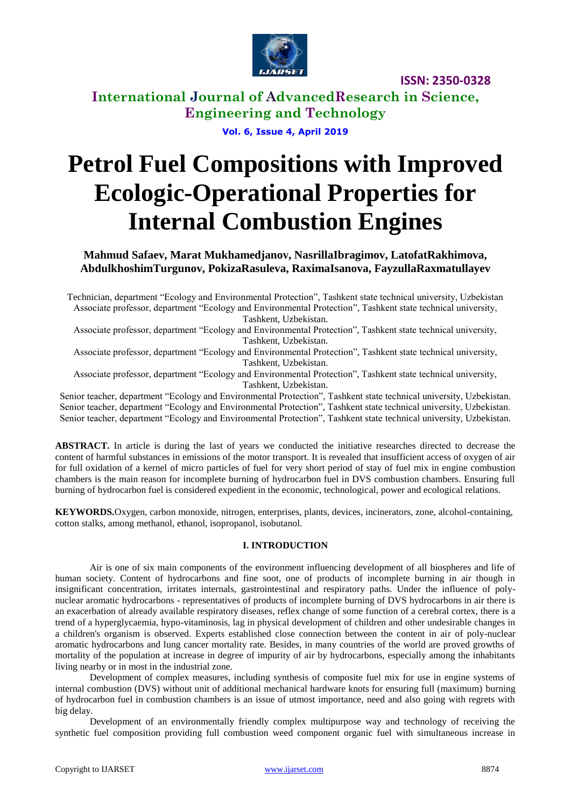

**International Journal of AdvancedResearch in Science, Engineering and Technology**

**Vol. 6, Issue 4, April 2019**

# **Petrol Fuel Compositions with Improved Ecologic-Operational Properties for Internal Combustion Engines**

**Mahmud Safaev, Marat Mukhamedjanov, NasrillaIbragimov, LatofatRakhimova, AbdulkhoshimTurgunov, PokizaRasuleva, RaximaIsanova, FayzullaRaxmatullayev**

Technician, department "Ecology and Environmental Protection", Tashkent state technical university, Uzbekistan Associate professor, department "Ecology and Environmental Protection", Tashkent state technical university, Tashkent, Uzbekistan.

Associate professor, department "Ecology and Environmental Protection", Tashkent state technical university, Tashkent, Uzbekistan.

Associate professor, department "Ecology and Environmental Protection", Tashkent state technical university, Tashkent, Uzbekistan.

Associate professor, department "Ecology and Environmental Protection", Tashkent state technical university, Tashkent, Uzbekistan.

Senior teacher, department "Ecology and Environmental Protection", Tashkent state technical university, Uzbekistan. Senior teacher, department "Ecology and Environmental Protection", Tashkent state technical university, Uzbekistan. Senior teacher, department "Ecology and Environmental Protection", Tashkent state technical university, Uzbekistan.

**ABSTRACT.** In article is during the last of years we conducted the initiative researches directed to decrease the content of harmful substances in emissions of the motor transport. It is revealed that insufficient access of oxygen of air for full oxidation of a kernel of micro particles of fuel for very short period of stay of fuel mix in engine combustion chambers is the main reason for incomplete burning of hydrocarbon fuel in DVS combustion chambers. Ensuring full burning of hydrocarbon fuel is considered expedient in the economic, technological, power and ecological relations.

**KEYWORDS.**Oxygen, carbon monoxide, nitrogen, enterprises, plants, devices, incinerators, zone, alcohol-containing, cotton stalks, among methanol, ethanol, isopropanol, isobutanol.

## **I. INTRODUCTION**

Air is one of six main components of the environment influencing development of all biospheres and life of human society. Content of hydrocarbons and fine soot, one of products of incomplete burning in air though in insignificant concentration, irritates internals, gastrointestinal and respiratory paths. Under the influence of polynuclear aromatic hydrocarbons - representatives of products of incomplete burning of DVS hydrocarbons in air there is an exacerbation of already available respiratory diseases, reflex change of some function of a cerebral cortex, there is a trend of a hyperglycaemia, hypo-vitaminosis, lag in physical development of children and other undesirable changes in a children's organism is observed. Experts established close connection between the content in air of poly-nuclear aromatic hydrocarbons and lung cancer mortality rate. Besides, in many countries of the world are proved growths of mortality of the population at increase in degree of impurity of air by hydrocarbons, especially among the inhabitants living nearby or in most in the industrial zone.

Development of complex measures, including synthesis of composite fuel mix for use in engine systems of internal combustion (DVS) without unit of additional mechanical hardware knots for ensuring full (maximum) burning of hydrocarbon fuel in combustion chambers is an issue of utmost importance, need and also going with regrets with big delay.

Development of an environmentally friendly complex multipurpose way and technology of receiving the synthetic fuel composition providing full combustion weed component organic fuel with simultaneous increase in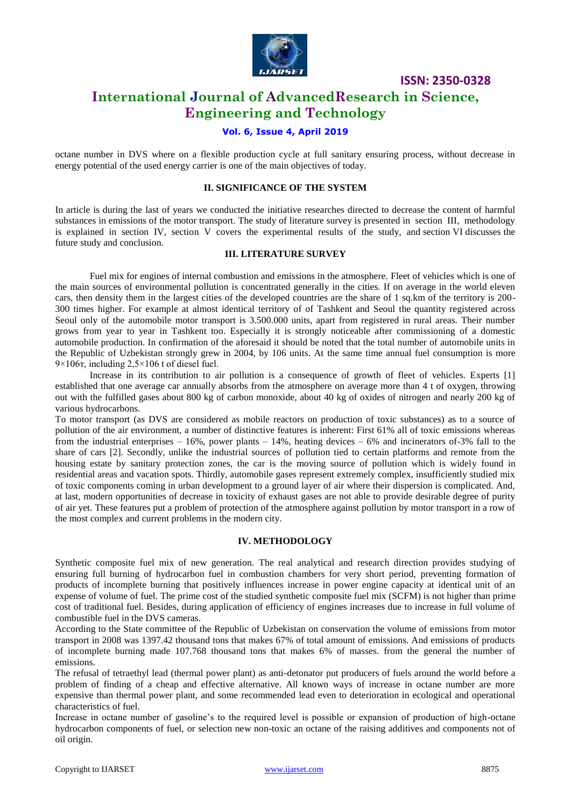

# **International Journal of AdvancedResearch in Science, Engineering and Technology**

# **Vol. 6, Issue 4, April 2019**

octane number in DVS where on a flexible production cycle at full sanitary ensuring process, without decrease in energy potential of the used energy carrier is one of the main objectives of today.

#### **II. SIGNIFICANCE OF THE SYSTEM**

In article is during the last of years we conducted the initiative researches directed to decrease the content of harmful substances in emissions of the motor transport. The study of literature survey is presented in section III, methodology is explained in section IV, section V covers the experimental results of the study, and section VI discusses the future study and conclusion.

## **III. LITERATURE SURVEY**

Fuel mix for engines of internal combustion and emissions in the atmosphere. Fleet of vehicles which is one of the main sources of environmental pollution is concentrated generally in the cities. If on average in the world eleven cars, then density them in the largest cities of the developed countries are the share of 1 sq.km of the territory is 200- 300 times higher. For example at almost identical territory of of Tashkent and Seoul the quantity registered across Seoul only of the automobile motor transport is 3.500.000 units, apart from registered in rural areas. Their number grows from year to year in Tashkent too. Especially it is strongly noticeable after commissioning of a domestic automobile production. In confirmation of the aforesaid it should be noted that the total number of automobile units in the Republic of Uzbekistan strongly grew in 2004, by 106 units. At the same time annual fuel consumption is more  $9\times106$ T, including  $2,5\times106$  t of diesel fuel.

Increase in its contribution to air pollution is a consequence of growth of fleet of vehicles. Experts [1] established that one average car annually absorbs from the atmosphere on average more than 4 t of oxygen, throwing out with the fulfilled gases about 800 kg of carbon monoxide, about 40 kg of oxides of nitrogen and nearly 200 kg of various hydrocarbons.

To motor transport (as DVS are considered as mobile reactors on production of toxic substances) as to a source of pollution of the air environment, a number of distinctive features is inherent: First 61% all of toxic emissions whereas from the industrial enterprises  $-16\%$ , power plants  $-14\%$ , heating devices  $-6\%$  and incinerators of-3% fall to the share of cars [2]. Secondly, unlike the industrial sources of pollution tied to certain platforms and remote from the housing estate by sanitary protection zones, the car is the moving source of pollution which is widely found in residential areas and vacation spots. Thirdly, automobile gases represent extremely complex, insufficiently studied mix of toxic components coming in urban development to a ground layer of air where their dispersion is complicated. And, at last, modern opportunities of decrease in toxicity of exhaust gases are not able to provide desirable degree of purity of air yet. These features put a problem of protection of the atmosphere against pollution by motor transport in a row of the most complex and current problems in the modern city.

#### **IV. METHODOLOGY**

Synthetic composite fuel mix of new generation. The real analytical and research direction provides studying of ensuring full burning of hydrocarbon fuel in combustion chambers for very short period, preventing formation of products of incomplete burning that positively influences increase in power engine capacity at identical unit of an expense of volume of fuel. The prime cost of the studied synthetic composite fuel mix (SCFM) is not higher than prime cost of traditional fuel. Besides, during application of efficiency of engines increases due to increase in full volume of combustible fuel in the DVS cameras.

According to the State committee of the Republic of Uzbekistan on conservation the volume of emissions from motor transport in 2008 was 1397.42 thousand tons that makes 67% of total amount of emissions. And emissions of products of incomplete burning made 107.768 thousand tons that makes 6% of masses. from the general the number of emissions.

The refusal of tetraethyl lead (thermal power plant) as anti-detonator put producers of fuels around the world before a problem of finding of a cheap and effective alternative. All known ways of increase in octane number are more expensive than thermal power plant, and some recommended lead even to deterioration in ecological and operational characteristics of fuel.

Increase in octane number of gasoline's to the required level is possible or expansion of production of high-octane hydrocarbon components of fuel, or selection new non-toxic an octane of the raising additives and components not of oil origin.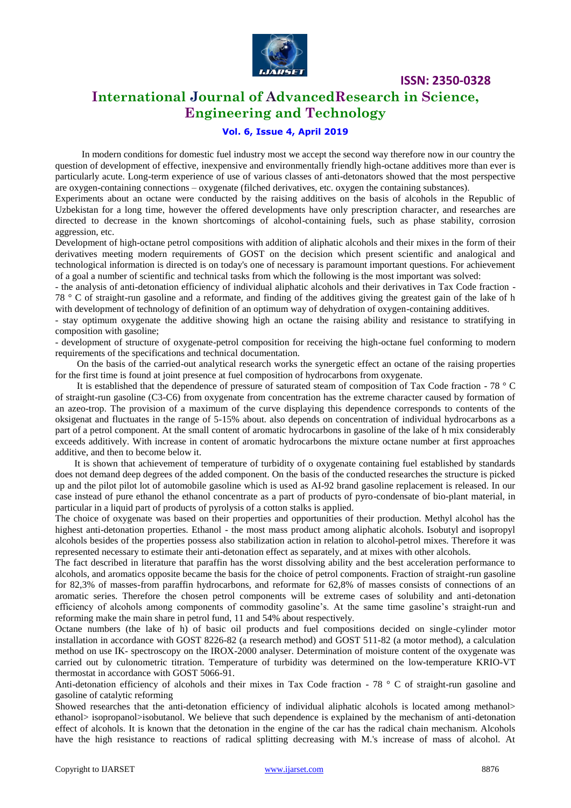

# **International Journal of AdvancedResearch in Science, Engineering and Technology**

# **Vol. 6, Issue 4, April 2019**

 In modern conditions for domestic fuel industry most we accept the second way therefore now in our country the question of development of effective, inexpensive and environmentally friendly high-octane additives more than ever is particularly acute. Long-term experience of use of various classes of anti-detonators showed that the most perspective are oxygen-containing connections – oxygenate (filched derivatives, etc. oxygen the containing substances).

Experiments about an octane were conducted by the raising additives on the basis of alcohols in the Republic of Uzbekistan for a long time, however the offered developments have only prescription character, and researches are directed to decrease in the known shortcomings of alcohol-containing fuels, such as phase stability, corrosion aggression, etc.

Development of high-octane petrol compositions with addition of aliphatic alcohols and their mixes in the form of their derivatives meeting modern requirements of GOST on the decision which present scientific and analogical and technological information is directed is on today's one of necessary is paramount important questions. For achievement of a goal a number of scientific and technical tasks from which the following is the most important was solved:

- the analysis of anti-detonation efficiency of individual aliphatic alcohols and their derivatives in Tax Code fraction - 78 ° C of straight-run gasoline and a reformate, and finding of the additives giving the greatest gain of the lake of h with development of technology of definition of an optimum way of dehydration of oxygen-containing additives.

- stay optimum oxygenate the additive showing high an octane the raising ability and resistance to stratifying in composition with gasoline;

- development of structure of oxygenate-petrol composition for receiving the high-octane fuel conforming to modern requirements of the specifications and technical documentation.

 On the basis of the carried-out analytical research works the synergetic effect an octane of the raising properties for the first time is found at joint presence at fuel composition of hydrocarbons from oxygenate.

 It is established that the dependence of pressure of saturated steam of composition of Tax Code fraction - 78 ° C of straight-run gasoline (C3-C6) from oxygenate from concentration has the extreme character caused by formation of an azeo-trop. The provision of a maximum of the curve displaying this dependence corresponds to contents of the oksigenat and fluctuates in the range of 5-15% about. also depends on concentration of individual hydrocarbons as a part of a petrol component. At the small content of aromatic hydrocarbons in gasoline of the lake of h mix considerably exceeds additively. With increase in content of aromatic hydrocarbons the mixture octane number at first approaches additive, and then to become below it.

 It is shown that achievement of temperature of turbidity of o oxygenate containing fuel established by standards does not demand deep degrees of the added component. On the basis of the conducted researches the structure is picked up and the pilot pilot lot of automobile gasoline which is used as AI-92 brand gasoline replacement is released. In our case instead of pure ethanol the ethanol concentrate as a part of products of pyro-condensate of bio-plant material, in particular in a liquid part of products of pyrolysis of a cotton stalks is applied.

The choice of oxygenate was based on their properties and opportunities of their production. Methyl alcohol has the highest anti-detonation properties. Ethanol - the most mass product among aliphatic alcohols. Isobutyl and isopropyl alcohols besides of the properties possess also stabilization action in relation to alcohol-petrol mixes. Therefore it was represented necessary to estimate their anti-detonation effect as separately, and at mixes with other alcohols.

The fact described in literature that paraffin has the worst dissolving ability and the best acceleration performance to alcohols, and aromatics opposite became the basis for the choice of petrol components. Fraction of straight-run gasoline for 82,3% of masses-from paraffin hydrocarbons, and reformate for 62,8% of masses consists of connections of an aromatic series. Therefore the chosen petrol components will be extreme cases of solubility and anti-detonation efficiency of alcohols among components of commodity gasoline's. At the same time gasoline's straight-run and reforming make the main share in petrol fund, 11 and 54% about respectively.

Octane numbers (the lake of h) of basic oil products and fuel compositions decided on single-cylinder motor installation in accordance with GOST 8226-82 (a research method) and GOST 511-82 (a motor method), a calculation method on use IK- spectroscopy on the IROX-2000 analyser. Determination of moisture content of the oxygenate was carried out by culonometric titration. Temperature of turbidity was determined on the low-temperature KRIO-VT thermostat in accordance with GOST 5066-91.

Anti-detonation efficiency of alcohols and their mixes in Tax Code fraction - 78 ° C of straight-run gasoline and gasoline of catalytic reforming

Showed researches that the anti-detonation efficiency of individual aliphatic alcohols is located among methanol> ethanol> isopropanol>isobutanol. We believe that such dependence is explained by the mechanism of anti-detonation effect of alcohols. It is known that the detonation in the engine of the car has the radical chain mechanism. Alcohols have the high resistance to reactions of radical splitting decreasing with M.'s increase of mass of alcohol. At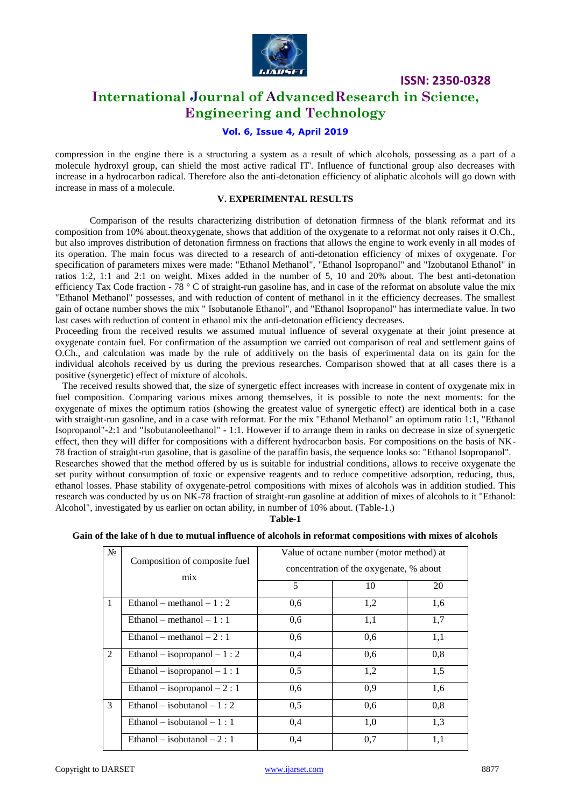

# **International Journal of AdvancedResearch in Science, Engineering and Technology**

# **Vol. 6, Issue 4, April 2019**

compression in the engine there is a structuring a system as a result of which alcohols, possessing as a part of a molecule hydroxyl group, can shield the most active radical IT'. Influence of functional group also decreases with increase in a hydrocarbon radical. Therefore also the anti-detonation efficiency of aliphatic alcohols will go down with increase in mass of a molecule.

#### **V. EXPERIMENTAL RESULTS**

Comparison of the results characterizing distribution of detonation firmness of the blank reformat and its composition from 10% about.theoxygenate, shows that addition of the oxygenate to a reformat not only raises it O.Ch., but also improves distribution of detonation firmness on fractions that allows the engine to work evenly in all modes of its operation. The main focus was directed to a research of anti-detonation efficiency of mixes of oxygenate. For specification of parameters mixes were made: "Ethanol Methanol", "Ethanol Isopropanol" and "Izobutanol Ethanol" in ratios 1:2, 1:1 and 2:1 on weight. Mixes added in the number of 5, 10 and 20% about. The best anti-detonation efficiency Tax Code fraction -  $78 \degree$  C of straight-run gasoline has, and in case of the reformat on absolute value the mix "Ethanol Methanol" possesses, and with reduction of content of methanol in it the efficiency decreases. The smallest gain of octane number shows the mix " Isobutanole Ethanol", and "Ethanol Isopropanol" has intermediate value. In two last cases with reduction of content in ethanol mix the anti-detonation efficiency decreases.

Proceeding from the received results we assumed mutual influence of several oxygenate at their joint presence at oxygenate contain fuel. For confirmation of the assumption we carried out comparison of real and settlement gains of O.Ch., and calculation was made by the rule of additively on the basis of experimental data on its gain for the individual alcohols received by us during the previous researches. Comparison showed that at all cases there is a positive (synergetic) effect of mixture of alcohols.

 The received results showed that, the size of synergetic effect increases with increase in content of oxygenate mix in fuel composition. Comparing various mixes among themselves, it is possible to note the next moments: for the oxygenate of mixes the optimum ratios (showing the greatest value of synergetic effect) are identical both in a case with straight-run gasoline, and in a case with reformat. For the mix "Ethanol Methanol" an optimum ratio 1:1, "Ethanol Isopropanol"-2:1 and "Isobutanoleethanol" - 1:1. However if to arrange them in ranks on decrease in size of synergetic effect, then they will differ for compositions with a different hydrocarbon basis. For compositions on the basis of NK-78 fraction of straight-run gasoline, that is gasoline of the paraffin basis, the sequence looks so: "Ethanol Isopropanol". Researches showed that the method offered by us is suitable for industrial conditions, allows to receive oxygenate the set purity without consumption of toxic or expensive reagents and to reduce competitive adsorption, reducing, thus, ethanol losses. Phase stability of oxygenate-petrol compositions with mixes of alcohols was in addition studied. This

research was conducted by us on NK-78 fraction of straight-run gasoline at addition of mixes of alcohols to it "Ethanol: Alcohol", investigated by us earlier on octan ability, in number of 10% about. (Table-1.) **Table-1**

#### **Gain of the lake of h due to mutual influence of alcohols in reformat compositions with mixes of alcohols**

| No           | Composition of composite fuel<br>mix | Value of octane number (motor method) at<br>concentration of the oxygenate, % about |     |     |
|--------------|--------------------------------------|-------------------------------------------------------------------------------------|-----|-----|
|              |                                      | 5                                                                                   | 10  | 20  |
| $\mathbf{1}$ | Ethanol – methanol – $1:2$           | 0.6                                                                                 | 1,2 | 1,6 |
|              | Ethanol – methanol – 1 : 1           | 0.6                                                                                 | 1,1 | 1,7 |
|              | Ethanol – methanol – $2:1$           | 0,6                                                                                 | 0,6 | 1,1 |
| 2            | Ethanol – isopropanol – 1 : 2        | 0.4                                                                                 | 0,6 | 0,8 |
|              | Ethanol – isopropanol – 1:1          | 0,5                                                                                 | 1,2 | 1,5 |
|              | Ethanol – isopropanol – 2:1          | 0.6                                                                                 | 0.9 | 1,6 |
| 3            | Ethanol – isobutanol – 1 : 2         | 0,5                                                                                 | 0,6 | 0,8 |
|              | Ethanol – isobutanol – 1 : 1         | 0,4                                                                                 | 1,0 | 1,3 |
|              | Ethanol – isobutanol – 2 : 1         | 0,4                                                                                 | 0.7 | 1,1 |